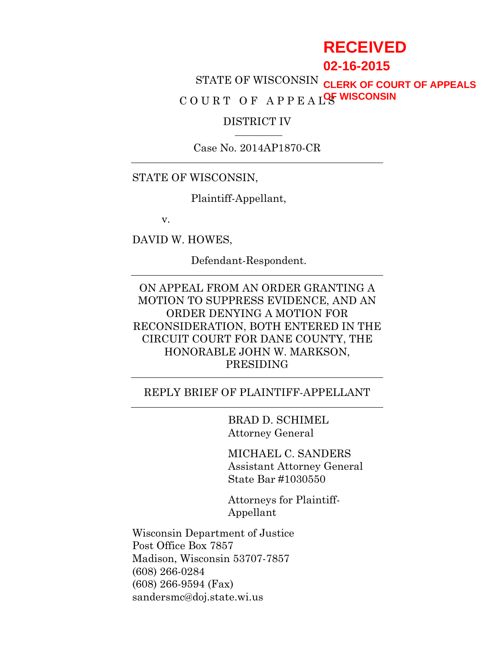# **RECEIVED**

# **02-16-2015**

STATE OF WISCONSIN **CLERK OF COURT OF APPEALS** COURT OF APPEAL<sup>OF</sup> WISCONSIN

#### DISTRICT IV

Case No. 2014AP1870-CR

#### STATE OF WISCONSIN,

Plaintiff-Appellant,

v.

DAVID W. HOWES,

Defendant-Respondent.

ON APPEAL FROM AN ORDER GRANTING A MOTION TO SUPPRESS EVIDENCE, AND AN ORDER DENYING A MOTION FOR RECONSIDERATION, BOTH ENTERED IN THE CIRCUIT COURT FOR DANE COUNTY, THE HONORABLE JOHN W. MARKSON, PRESIDING

#### REPLY BRIEF OF PLAINTIFF-APPELLANT

BRAD D. SCHIMEL Attorney General

MICHAEL C. SANDERS Assistant Attorney General State Bar #1030550

Attorneys for Plaintiff-Appellant

Wisconsin Department of Justice Post Office Box 7857 Madison, Wisconsin 53707-7857 (608) 266-0284 (608) 266-9594 (Fax) sandersmc@doj.state.wi.us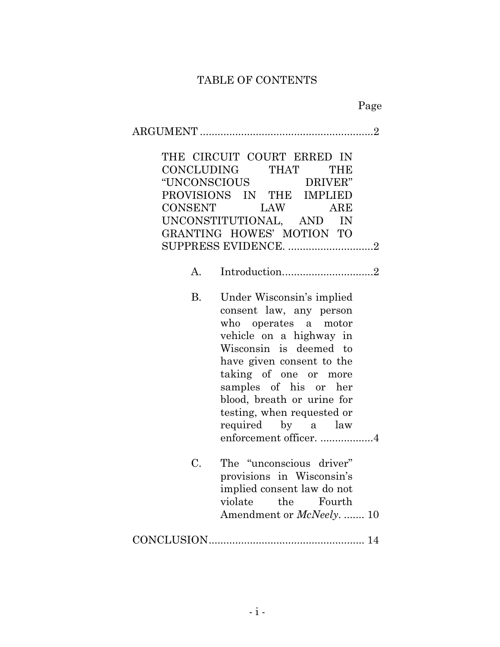# TABLE OF CONTENTS

| $\overline{2}$<br>THE CIRCUIT COURT ERRED IN<br>CONCLUDING THAT<br>THE<br>"UNCONSCIOUS DRIVER"<br>PROVISIONS IN THE IMPLIED<br>CONSENT LAW<br>ARE<br>UNCONSTITUTIONAL, AND IN<br>GRANTING HOWES' MOTION TO<br>SUPPRESS EVIDENCE. 2 |                                                                                                                                                                                                                                                                                                                             |  |  |
|------------------------------------------------------------------------------------------------------------------------------------------------------------------------------------------------------------------------------------|-----------------------------------------------------------------------------------------------------------------------------------------------------------------------------------------------------------------------------------------------------------------------------------------------------------------------------|--|--|
| A.                                                                                                                                                                                                                                 | Introduction2                                                                                                                                                                                                                                                                                                               |  |  |
| <b>B.</b>                                                                                                                                                                                                                          | Under Wisconsin's implied<br>consent law, any person<br>who operates a motor<br>vehicle on a highway in<br>Wisconsin is deemed to<br>have given consent to the<br>taking of one or more<br>samples of his or her<br>blood, breath or urine for<br>testing, when requested or<br>required by a law<br>enforcement officer. 4 |  |  |
| C.                                                                                                                                                                                                                                 | The "unconscious driver"<br>provisions in Wisconsin's<br>implied consent law do not<br>violate<br>the<br>Fourth<br>Amendment or McNeely.  10                                                                                                                                                                                |  |  |
|                                                                                                                                                                                                                                    |                                                                                                                                                                                                                                                                                                                             |  |  |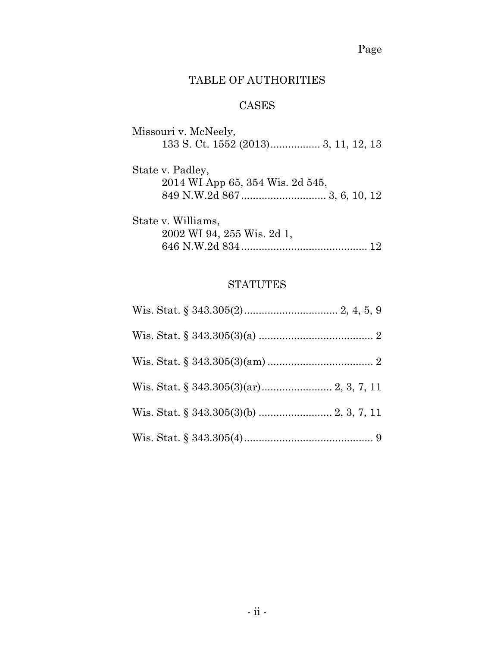Page

# TABLE OF AUTHORITIES

# CASES

| Missouri v. McNeely,             |  |
|----------------------------------|--|
|                                  |  |
| State v. Padley,                 |  |
| 2014 WI App 65, 354 Wis. 2d 545, |  |
|                                  |  |
| State v. Williams,               |  |
| 2002 WI 94, 255 Wis. 2d 1,       |  |
|                                  |  |

# **STATUTES**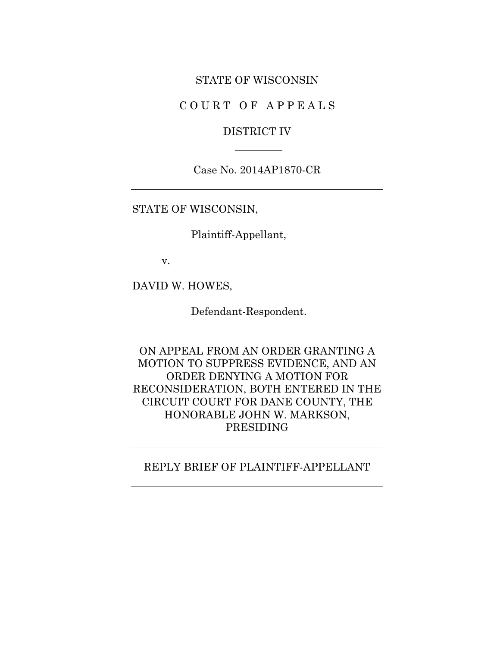#### STATE OF WISCONSIN

COURT OF APPEALS

### DISTRICT IV

Case No. 2014AP1870-CR

STATE OF WISCONSIN,

Plaintiff-Appellant,

v.

DAVID W. HOWES,

Defendant-Respondent.

ON APPEAL FROM AN ORDER GRANTING A MOTION TO SUPPRESS EVIDENCE, AND AN ORDER DENYING A MOTION FOR RECONSIDERATION, BOTH ENTERED IN THE CIRCUIT COURT FOR DANE COUNTY, THE HONORABLE JOHN W. MARKSON, PRESIDING

#### REPLY BRIEF OF PLAINTIFF-APPELLANT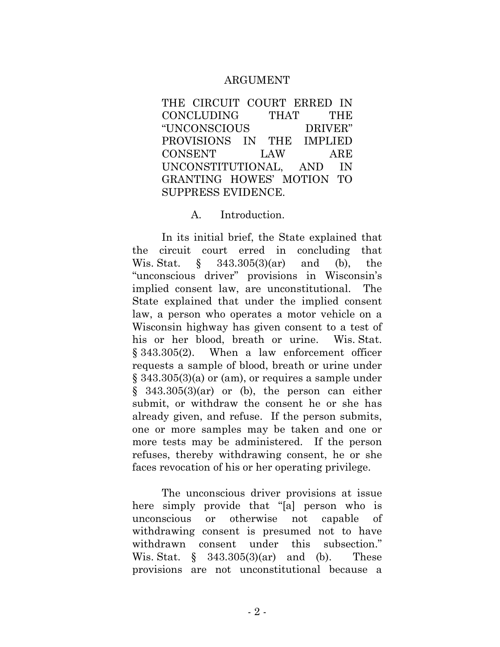#### ARGUMENT

THE CIRCUIT COURT ERRED IN CONCLUDING THAT THE "UNCONSCIOUS DRIVER" PROVISIONS IN THE IMPLIED CONSENT LAW ARE UNCONSTITUTIONAL, AND IN GRANTING HOWES' MOTION TO SUPPRESS EVIDENCE.

#### A. Introduction.

In its initial brief, the State explained that the circuit court erred in concluding that Wis. Stat. § 343.305(3)(ar) and (b), the "unconscious driver" provisions in Wisconsin's implied consent law, are unconstitutional. The State explained that under the implied consent law, a person who operates a motor vehicle on a Wisconsin highway has given consent to a test of his or her blood, breath or urine. Wis. Stat. § 343.305(2). When a law enforcement officer requests a sample of blood, breath or urine under § 343.305(3)(a) or (am), or requires a sample under  $§$  343.305(3)(ar) or (b), the person can either submit, or withdraw the consent he or she has already given, and refuse. If the person submits, one or more samples may be taken and one or more tests may be administered. If the person refuses, thereby withdrawing consent, he or she faces revocation of his or her operating privilege.

The unconscious driver provisions at issue here simply provide that "[a] person who is unconscious or otherwise not capable of withdrawing consent is presumed not to have withdrawn consent under this subsection." Wis. Stat.  $\S$  343.305(3)(ar) and (b). These provisions are not unconstitutional because a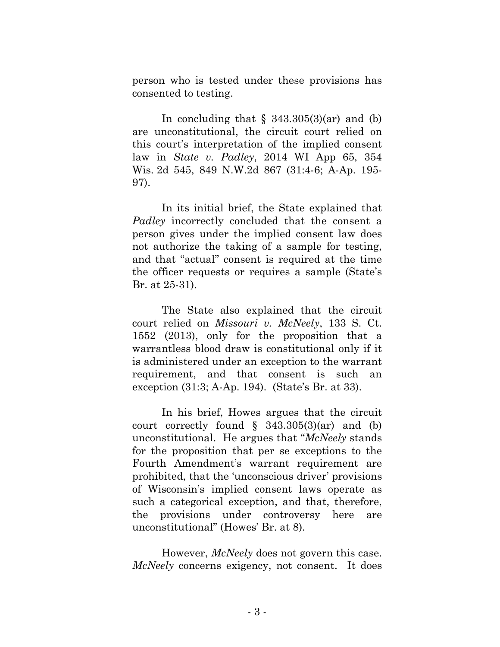person who is tested under these provisions has consented to testing.

In concluding that  $\S$  343.305(3)(ar) and (b) are unconstitutional, the circuit court relied on this court's interpretation of the implied consent law in *State v. Padley*, 2014 WI App 65, 354 Wis. 2d 545, 849 N.W.2d 867 (31:4-6; A-Ap. 195- 97).

In its initial brief, the State explained that *Padley* incorrectly concluded that the consent a person gives under the implied consent law does not authorize the taking of a sample for testing, and that "actual" consent is required at the time the officer requests or requires a sample (State's Br. at 25-31).

The State also explained that the circuit court relied on *Missouri v. McNeely*, 133 S. Ct. 1552 (2013), only for the proposition that a warrantless blood draw is constitutional only if it is administered under an exception to the warrant requirement, and that consent is such an exception (31:3; A-Ap. 194). (State's Br. at 33).

In his brief, Howes argues that the circuit court correctly found  $\S$  343.305(3)(ar) and (b) unconstitutional. He argues that "*McNeely* stands for the proposition that per se exceptions to the Fourth Amendment's warrant requirement are prohibited, that the 'unconscious driver' provisions of Wisconsin's implied consent laws operate as such a categorical exception, and that, therefore, the provisions under controversy here are unconstitutional" (Howes' Br. at 8).

However, *McNeely* does not govern this case. *McNeely* concerns exigency, not consent. It does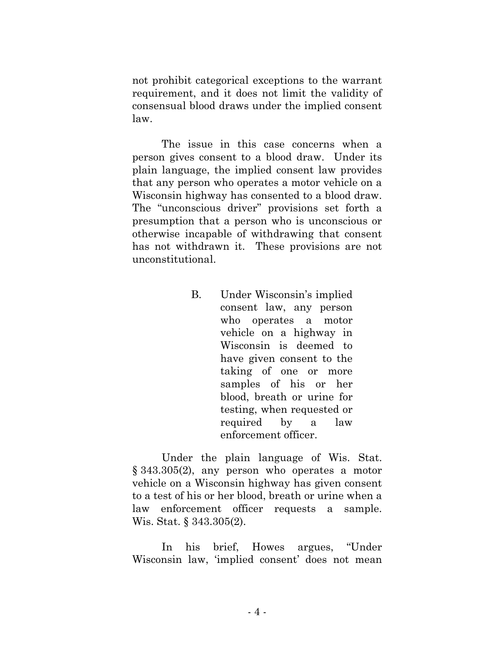not prohibit categorical exceptions to the warrant requirement, and it does not limit the validity of consensual blood draws under the implied consent law.

The issue in this case concerns when a person gives consent to a blood draw. Under its plain language, the implied consent law provides that any person who operates a motor vehicle on a Wisconsin highway has consented to a blood draw. The "unconscious driver" provisions set forth a presumption that a person who is unconscious or otherwise incapable of withdrawing that consent has not withdrawn it. These provisions are not unconstitutional.

> B. Under Wisconsin's implied consent law, any person who operates a motor vehicle on a highway in Wisconsin is deemed to have given consent to the taking of one or more samples of his or her blood, breath or urine for testing, when requested or required by a law enforcement officer.

Under the plain language of Wis. Stat. § 343.305(2), any person who operates a motor vehicle on a Wisconsin highway has given consent to a test of his or her blood, breath or urine when a law enforcement officer requests a sample. Wis. Stat. § 343.305(2).

In his brief, Howes argues, "Under Wisconsin law, 'implied consent' does not mean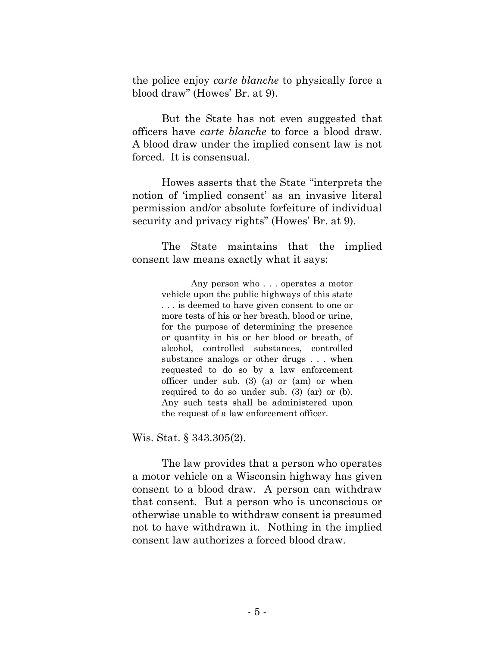the police enjoy *carte blanche* to physically force a blood draw" (Howes' Br. at 9).

But the State has not even suggested that officers have *carte blanche* to force a blood draw. A blood draw under the implied consent law is not forced. It is consensual.

Howes asserts that the State "interprets the notion of 'implied consent' as an invasive literal permission and/or absolute forfeiture of individual security and privacy rights" (Howes' Br. at 9).

The State maintains that the implied consent law means exactly what it says:

> Any person who . . . operates a motor vehicle upon the public highways of this state . . . is deemed to have given consent to one or more tests of his or her breath, blood or urine, for the purpose of determining the presence or quantity in his or her blood or breath, of alcohol, controlled substances, controlled substance analogs or other drugs . . . when requested to do so by a law enforcement officer under sub. [\(3\) \(a\)](http://docs.legis.wisconsin.gov/document/statutes/343.305(3)(a)) or [\(am\)](http://docs.legis.wisconsin.gov/document/statutes/343.305(3)(am)) or when required to do so under sub. [\(3\) \(ar\)](http://docs.legis.wisconsin.gov/document/statutes/343.305(3)(ar)) or [\(b\).](http://docs.legis.wisconsin.gov/document/statutes/343.305(3)(b)) Any such tests shall be administered upon the request of a law enforcement officer.

Wis. Stat. § 343.305(2).

The law provides that a person who operates a motor vehicle on a Wisconsin highway has given consent to a blood draw. A person can withdraw that consent. But a person who is unconscious or otherwise unable to withdraw consent is presumed not to have withdrawn it. Nothing in the implied consent law authorizes a forced blood draw.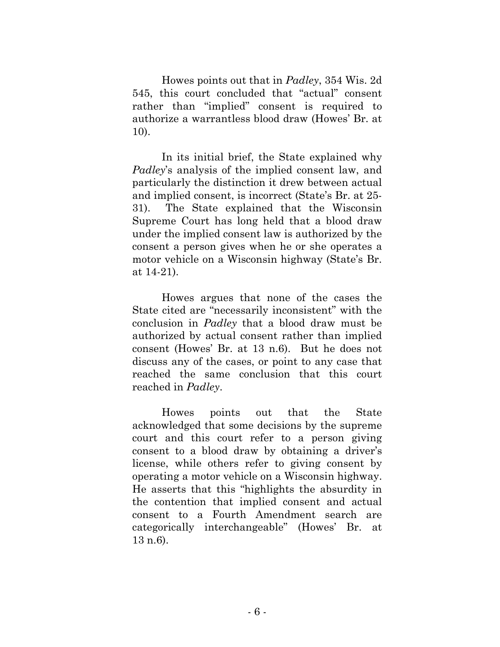Howes points out that in *Padley*, 354 Wis. 2d 545, this court concluded that "actual" consent rather than "implied" consent is required to authorize a warrantless blood draw (Howes' Br. at 10).

In its initial brief, the State explained why *Padley*'s analysis of the implied consent law, and particularly the distinction it drew between actual and implied consent, is incorrect (State's Br. at 25- 31). The State explained that the Wisconsin Supreme Court has long held that a blood draw under the implied consent law is authorized by the consent a person gives when he or she operates a motor vehicle on a Wisconsin highway (State's Br. at 14-21).

Howes argues that none of the cases the State cited are "necessarily inconsistent" with the conclusion in *Padley* that a blood draw must be authorized by actual consent rather than implied consent (Howes' Br. at 13 n.6). But he does not discuss any of the cases, or point to any case that reached the same conclusion that this court reached in *Padley*.

Howes points out that the State acknowledged that some decisions by the supreme court and this court refer to a person giving consent to a blood draw by obtaining a driver's license, while others refer to giving consent by operating a motor vehicle on a Wisconsin highway. He asserts that this "highlights the absurdity in the contention that implied consent and actual consent to a Fourth Amendment search are categorically interchangeable" (Howes' Br. at 13 n.6).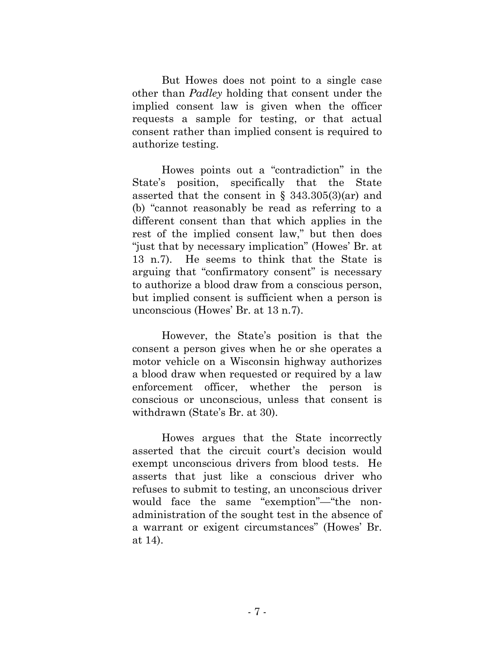But Howes does not point to a single case other than *Padley* holding that consent under the implied consent law is given when the officer requests a sample for testing, or that actual consent rather than implied consent is required to authorize testing.

Howes points out a "contradiction" in the State's position, specifically that the State asserted that the consent in  $\S$  343.305(3)(ar) and (b) "cannot reasonably be read as referring to a different consent than that which applies in the rest of the implied consent law," but then does "just that by necessary implication" (Howes' Br. at 13 n.7). He seems to think that the State is arguing that "confirmatory consent" is necessary to authorize a blood draw from a conscious person, but implied consent is sufficient when a person is unconscious (Howes' Br. at 13 n.7).

However, the State's position is that the consent a person gives when he or she operates a motor vehicle on a Wisconsin highway authorizes a blood draw when requested or required by a law enforcement officer, whether the person is conscious or unconscious, unless that consent is withdrawn (State's Br. at 30).

Howes argues that the State incorrectly asserted that the circuit court's decision would exempt unconscious drivers from blood tests. He asserts that just like a conscious driver who refuses to submit to testing, an unconscious driver would face the same "exemption"—"the nonadministration of the sought test in the absence of a warrant or exigent circumstances" (Howes' Br. at 14).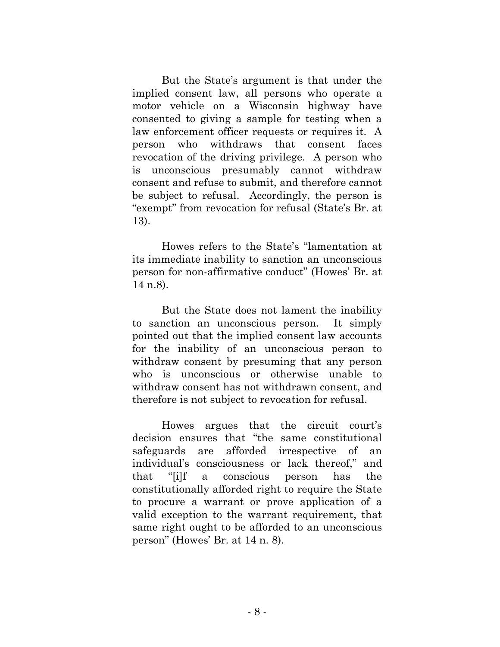But the State's argument is that under the implied consent law, all persons who operate a motor vehicle on a Wisconsin highway have consented to giving a sample for testing when a law enforcement officer requests or requires it. A person who withdraws that consent faces revocation of the driving privilege. A person who is unconscious presumably cannot withdraw consent and refuse to submit, and therefore cannot be subject to refusal. Accordingly, the person is "exempt" from revocation for refusal (State's Br. at 13).

Howes refers to the State's "lamentation at its immediate inability to sanction an unconscious person for non-affirmative conduct" (Howes' Br. at 14 n.8).

But the State does not lament the inability to sanction an unconscious person. It simply pointed out that the implied consent law accounts for the inability of an unconscious person to withdraw consent by presuming that any person who is unconscious or otherwise unable to withdraw consent has not withdrawn consent, and therefore is not subject to revocation for refusal.

Howes argues that the circuit court's decision ensures that "the same constitutional safeguards are afforded irrespective of an individual's consciousness or lack thereof," and that "[i]f a conscious person has the constitutionally afforded right to require the State to procure a warrant or prove application of a valid exception to the warrant requirement, that same right ought to be afforded to an unconscious person" (Howes' Br. at 14 n. 8).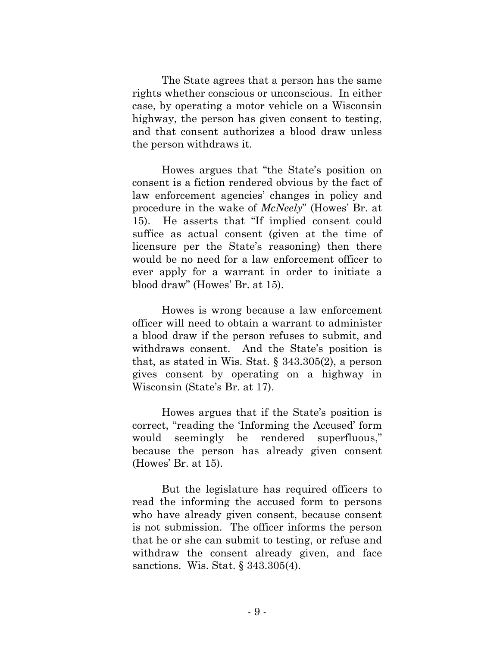The State agrees that a person has the same rights whether conscious or unconscious. In either case, by operating a motor vehicle on a Wisconsin highway, the person has given consent to testing, and that consent authorizes a blood draw unless the person withdraws it.

Howes argues that "the State's position on consent is a fiction rendered obvious by the fact of law enforcement agencies' changes in policy and procedure in the wake of *McNeely*" (Howes' Br. at 15). He asserts that "If implied consent could suffice as actual consent (given at the time of licensure per the State's reasoning) then there would be no need for a law enforcement officer to ever apply for a warrant in order to initiate a blood draw" (Howes' Br. at 15).

Howes is wrong because a law enforcement officer will need to obtain a warrant to administer a blood draw if the person refuses to submit, and withdraws consent. And the State's position is that, as stated in Wis. Stat. § 343.305(2), a person gives consent by operating on a highway in Wisconsin (State's Br. at 17).

Howes argues that if the State's position is correct, "reading the 'Informing the Accused' form would seemingly be rendered superfluous," because the person has already given consent (Howes' Br. at 15).

But the legislature has required officers to read the informing the accused form to persons who have already given consent, because consent is not submission. The officer informs the person that he or she can submit to testing, or refuse and withdraw the consent already given, and face sanctions. Wis. Stat. § 343.305(4).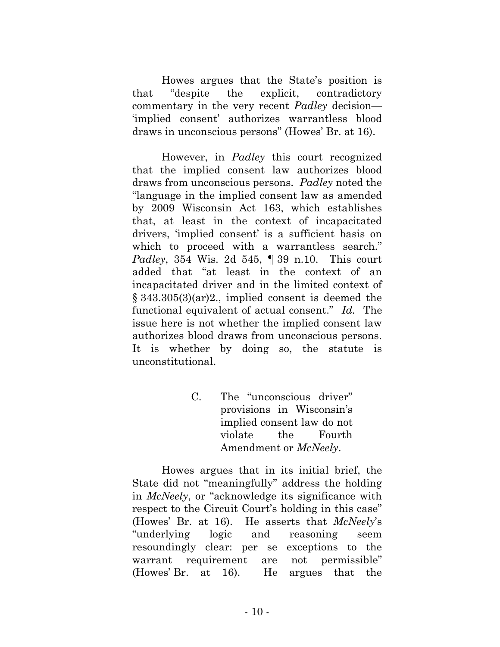Howes argues that the State's position is that "despite the explicit, contradictory commentary in the very recent *Padley* decision— 'implied consent' authorizes warrantless blood draws in unconscious persons" (Howes' Br. at 16).

However, in *Padley* this court recognized that the implied consent law authorizes blood draws from unconscious persons. *Padley* noted the "language in the implied consent law as amended by 2009 Wisconsin Act 163, which establishes that, at least in the context of incapacitated drivers, 'implied consent' is a sufficient basis on which to proceed with a warrantless search." *Padley*, 354 Wis. 2d 545, ¶ 39 n.10. This court added that "at least in the context of an incapacitated driver and in the limited context of § 343.305(3)(ar)2., implied consent is deemed the functional equivalent of actual consent." *Id.* The issue here is not whether the implied consent law authorizes blood draws from unconscious persons. It is whether by doing so, the statute is unconstitutional.

> C. The "unconscious driver" provisions in Wisconsin's implied consent law do not violate the Fourth Amendment or *McNeely*.

Howes argues that in its initial brief, the State did not "meaningfully" address the holding in *McNeely*, or "acknowledge its significance with respect to the Circuit Court's holding in this case" (Howes' Br. at 16). He asserts that *McNeely*'s "underlying logic and reasoning seem resoundingly clear: per se exceptions to the warrant requirement are not permissible" (Howes' Br. at 16). He argues that the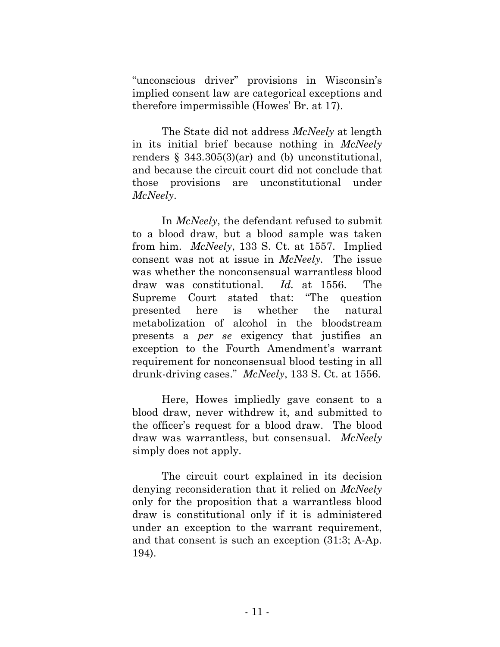"unconscious driver" provisions in Wisconsin's implied consent law are categorical exceptions and therefore impermissible (Howes' Br. at 17).

The State did not address *McNeely* at length in its initial brief because nothing in *McNeely* renders  $\S$  343.305(3)(ar) and (b) unconstitutional, and because the circuit court did not conclude that those provisions are unconstitutional under *McNeely*.

In *McNeely*, the defendant refused to submit to a blood draw, but a blood sample was taken from him. *McNeely*, 133 S. Ct. at 1557. Implied consent was not at issue in *McNeely.* The issue was whether the nonconsensual warrantless blood draw was constitutional. *Id.* at 1556. The Supreme Court stated that: "The question presented here is whether the natural metabolization of alcohol in the bloodstream presents a *per se* exigency that justifies an exception to the Fourth Amendment's warrant requirement for nonconsensual blood testing in all drunk-driving cases." *McNeely*, 133 S. Ct. at 1556.

Here, Howes impliedly gave consent to a blood draw, never withdrew it, and submitted to the officer's request for a blood draw. The blood draw was warrantless, but consensual. *McNeely* simply does not apply.

The circuit court explained in its decision denying reconsideration that it relied on *McNeely* only for the proposition that a warrantless blood draw is constitutional only if it is administered under an exception to the warrant requirement, and that consent is such an exception (31:3; A-Ap. 194).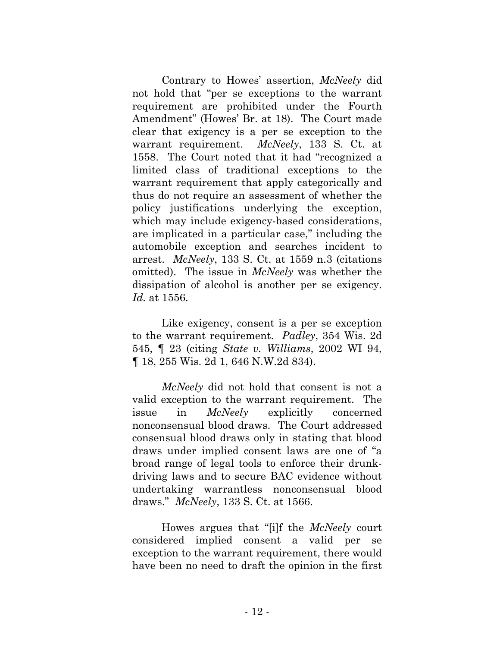Contrary to Howes' assertion, *McNeely* did not hold that "per se exceptions to the warrant requirement are prohibited under the Fourth Amendment" (Howes' Br. at 18). The Court made clear that exigency is a per se exception to the warrant requirement. *McNeely*, 133 S. Ct. at 1558. The Court noted that it had "recognized a limited class of traditional exceptions to the warrant requirement that apply categorically and thus do not require an assessment of whether the policy justifications underlying the exception, which may include exigency-based considerations, are implicated in a particular case," including the automobile exception and searches incident to arrest. *McNeely*, 133 S. Ct. at 1559 n.3 (citations omitted). The issue in *McNeely* was whether the dissipation of alcohol is another per se exigency. *Id.* at 1556.

Like exigency, consent is a per se exception to the warrant requirement. *Padley*, 354 Wis. 2d 545, ¶ 23 (citing *State v. Williams*, 2002 WI 94, ¶ 18, 255 Wis. 2d 1, 646 N.W.2d 834).

*McNeely* did not hold that consent is not a valid exception to the warrant requirement. The issue in *McNeely* explicitly concerned nonconsensual blood draws. The Court addressed consensual blood draws only in stating that blood draws under implied consent laws are one of "a broad range of legal tools to enforce their drunkdriving laws and to secure BAC evidence without undertaking warrantless nonconsensual blood draws." *McNeely*, 133 S. Ct. at 1566.

Howes argues that "[i]f the *McNeely* court considered implied consent a valid per se exception to the warrant requirement, there would have been no need to draft the opinion in the first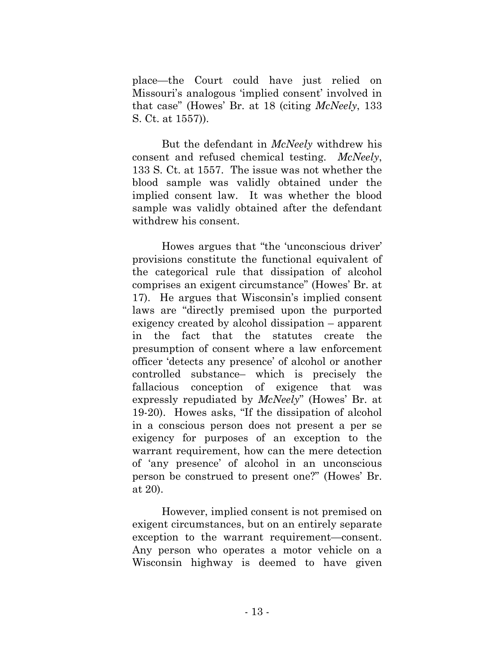place—the Court could have just relied on Missouri's analogous 'implied consent' involved in that case" (Howes' Br. at 18 (citing *McNeely*, 133 S. Ct. at 1557)).

But the defendant in *McNeely* withdrew his consent and refused chemical testing. *McNeely*, 133 S. Ct. at 1557. The issue was not whether the blood sample was validly obtained under the implied consent law. It was whether the blood sample was validly obtained after the defendant withdrew his consent.

Howes argues that "the 'unconscious driver' provisions constitute the functional equivalent of the categorical rule that dissipation of alcohol comprises an exigent circumstance" (Howes' Br. at 17). He argues that Wisconsin's implied consent laws are "directly premised upon the purported exigency created by alcohol dissipation – apparent in the fact that the statutes create the presumption of consent where a law enforcement officer 'detects any presence' of alcohol or another controlled substance– which is precisely the fallacious conception of exigence that was expressly repudiated by *McNeely*" (Howes' Br. at 19-20). Howes asks, "If the dissipation of alcohol in a conscious person does not present a per se exigency for purposes of an exception to the warrant requirement, how can the mere detection of 'any presence' of alcohol in an unconscious person be construed to present one?" (Howes' Br. at 20).

However, implied consent is not premised on exigent circumstances, but on an entirely separate exception to the warrant requirement—consent. Any person who operates a motor vehicle on a Wisconsin highway is deemed to have given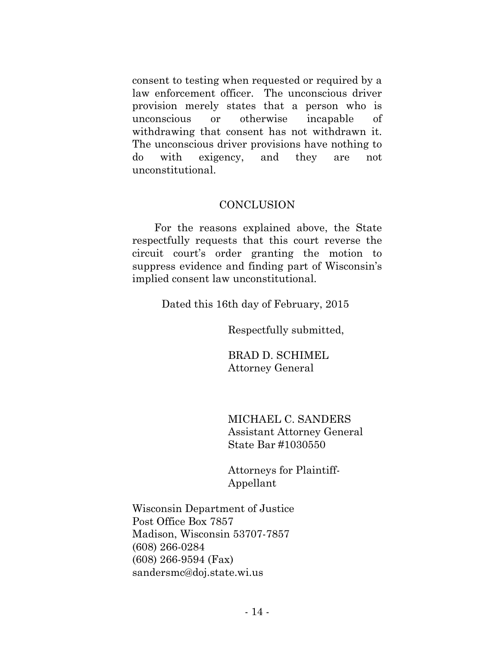consent to testing when requested or required by a law enforcement officer. The unconscious driver provision merely states that a person who is unconscious or otherwise incapable of withdrawing that consent has not withdrawn it. The unconscious driver provisions have nothing to do with exigency, and they are not unconstitutional.

#### **CONCLUSION**

For the reasons explained above, the State respectfully requests that this court reverse the circuit court's order granting the motion to suppress evidence and finding part of Wisconsin's implied consent law unconstitutional.

Dated this 16th day of February, 2015

Respectfully submitted,

BRAD D. SCHIMEL Attorney General

MICHAEL C. SANDERS Assistant Attorney General State Bar #1030550

Attorneys for Plaintiff-Appellant

Wisconsin Department of Justice Post Office Box 7857 Madison, Wisconsin 53707-7857 (608) 266-0284 (608) 266-9594 (Fax) sandersmc@doj.state.wi.us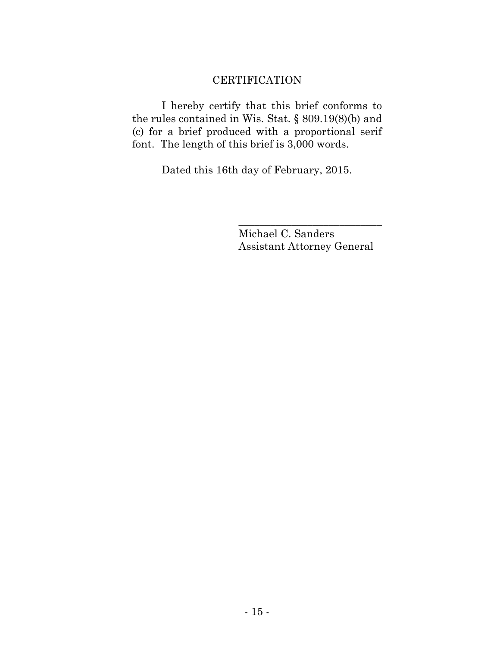### **CERTIFICATION**

I hereby certify that this brief conforms to the rules contained in Wis. Stat. § 809.19(8)(b) and (c) for a brief produced with a proportional serif font. The length of this brief is 3,000 words.

Dated this 16th day of February, 2015.

Michael C. Sanders Assistant Attorney General

\_\_\_\_\_\_\_\_\_\_\_\_\_\_\_\_\_\_\_\_\_\_\_\_\_\_\_